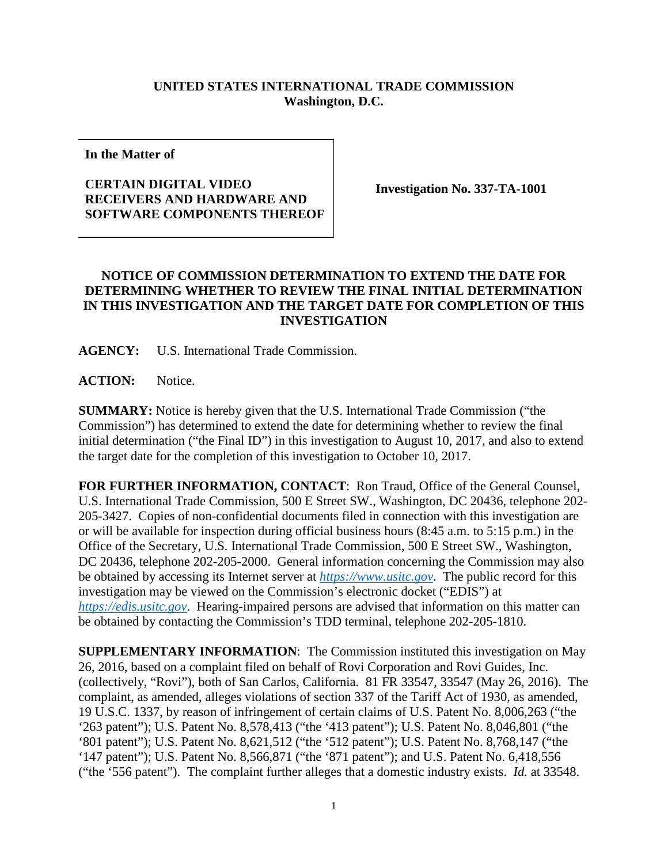## **UNITED STATES INTERNATIONAL TRADE COMMISSION Washington, D.C.**

**In the Matter of**

## **CERTAIN DIGITAL VIDEO RECEIVERS AND HARDWARE AND SOFTWARE COMPONENTS THEREOF**

**Investigation No. 337-TA-1001**

## **NOTICE OF COMMISSION DETERMINATION TO EXTEND THE DATE FOR DETERMINING WHETHER TO REVIEW THE FINAL INITIAL DETERMINATION IN THIS INVESTIGATION AND THE TARGET DATE FOR COMPLETION OF THIS INVESTIGATION**

**AGENCY:** U.S. International Trade Commission.

**ACTION:** Notice.

**SUMMARY:** Notice is hereby given that the U.S. International Trade Commission ("the Commission") has determined to extend the date for determining whether to review the final initial determination ("the Final ID") in this investigation to August 10, 2017, and also to extend the target date for the completion of this investigation to October 10, 2017.

**FOR FURTHER INFORMATION, CONTACT**: Ron Traud, Office of the General Counsel, U.S. International Trade Commission, 500 E Street SW., Washington, DC 20436, telephone 202- 205-3427. Copies of non-confidential documents filed in connection with this investigation are or will be available for inspection during official business hours (8:45 a.m. to 5:15 p.m.) in the Office of the Secretary, U.S. International Trade Commission, 500 E Street SW., Washington, DC 20436, telephone 202-205-2000. General information concerning the Commission may also be obtained by accessing its Internet server at *[https://www.usitc.gov](https://www.usitc.gov/)*. The public record for this investigation may be viewed on the Commission's electronic docket ("EDIS") at *[https://edis.usitc.gov](https://edis.usitc.gov/)*. Hearing-impaired persons are advised that information on this matter can be obtained by contacting the Commission's TDD terminal, telephone 202-205-1810.

**SUPPLEMENTARY INFORMATION**: The Commission instituted this investigation on May 26, 2016, based on a complaint filed on behalf of Rovi Corporation and Rovi Guides, Inc. (collectively, "Rovi"), both of San Carlos, California. 81 FR 33547, 33547 (May 26, 2016). The complaint, as amended, alleges violations of section 337 of the Tariff Act of 1930, as amended, 19 U.S.C. 1337, by reason of infringement of certain claims of U.S. Patent No. 8,006,263 ("the '263 patent"); U.S. Patent No. 8,578,413 ("the '413 patent"); U.S. Patent No. 8,046,801 ("the '801 patent"); U.S. Patent No. 8,621,512 ("the '512 patent"); U.S. Patent No. 8,768,147 ("the '147 patent"); U.S. Patent No. 8,566,871 ("the '871 patent"); and U.S. Patent No. 6,418,556 ("the '556 patent"). The complaint further alleges that a domestic industry exists. *Id.* at 33548.